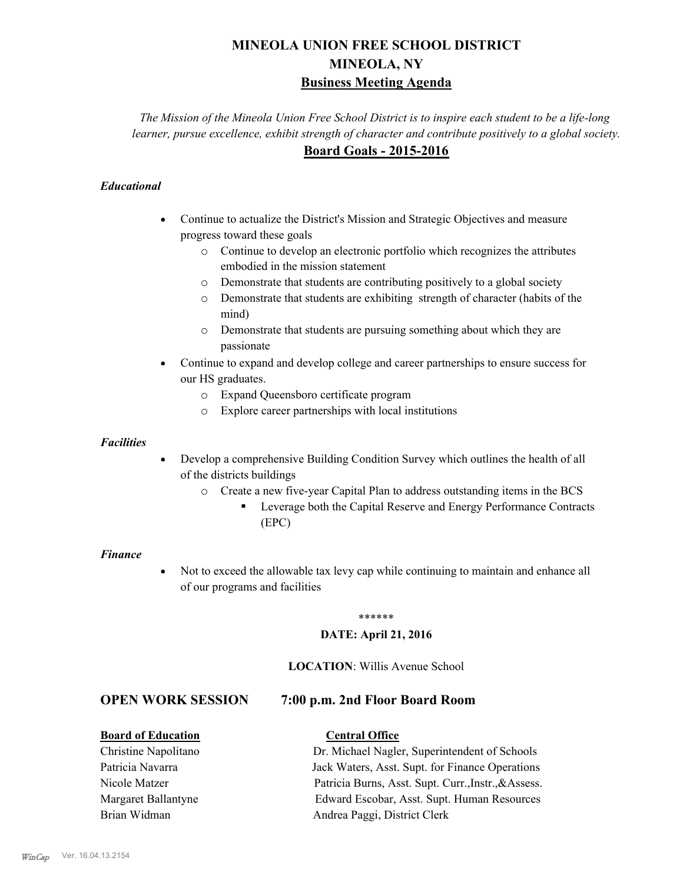# **MINEOLA UNION FREE SCHOOL DISTRICT MINEOLA, NY Business Meeting Agenda**

*The Mission of the Mineola Union Free School District is to inspire each student to be a life-long learner, pursue excellence, exhibit strength of character and contribute positively to a global society.* **Board Goals - 2015-2016**

#### *Educational*

- · Continue to actualize the District's Mission and Strategic Objectives and measure progress toward these goals
	- o Continue to develop an electronic portfolio which recognizes the attributes embodied in the mission statement
	- o Demonstrate that students are contributing positively to a global society
	- o Demonstrate that students are exhibiting strength of character (habits of the mind)
	- o Demonstrate that students are pursuing something about which they are passionate
- Continue to expand and develop college and career partnerships to ensure success for our HS graduates.
	- o Expand Queensboro certificate program
	- o Explore career partnerships with local institutions

#### *Facilities*

- Develop a comprehensive Building Condition Survey which outlines the health of all of the districts buildings
	- o Create a new five-year Capital Plan to address outstanding items in the BCS
		- § Leverage both the Capital Reserve and Energy Performance Contracts (EPC)

#### *Finance*

• Not to exceed the allowable tax levy cap while continuing to maintain and enhance all of our programs and facilities

#### \*\*\*\*\*\*

#### **DATE: April 21, 2016**

#### **LOCATION**: Willis Avenue School

# **OPEN WORK SESSION 7:00 p.m. 2nd Floor Board Room**

#### **Board of Education Central Office**

# Christine Napolitano Dr. Michael Nagler, Superintendent of Schools Patricia Navarra Jack Waters, Asst. Supt. for Finance Operations Nicole Matzer Patricia Burns, Asst. Supt. Curr.,Instr.,&Assess. Margaret Ballantyne Edward Escobar, Asst. Supt. Human Resources Brian Widman **Andrea Paggi, District Clerk**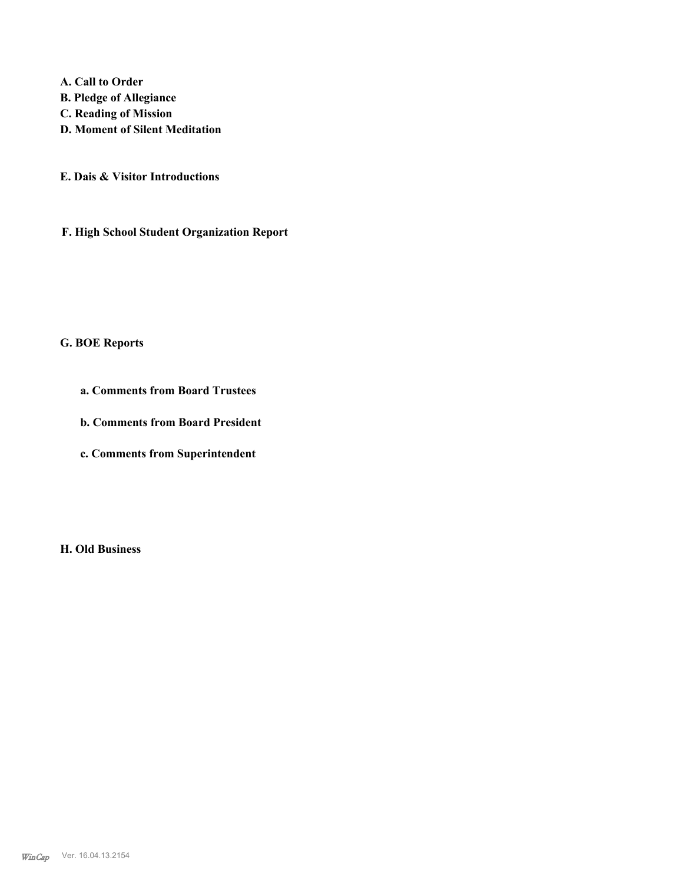**A. Call to Order B. Pledge of Allegiance C. Reading of Mission D. Moment of Silent Meditation**

**E. Dais & Visitor Introductions**

**F. High School Student Organization Report**

# **G. BOE Reports**

**a. Comments from Board Trustees**

**b. Comments from Board President**

**c. Comments from Superintendent**

**H. Old Business**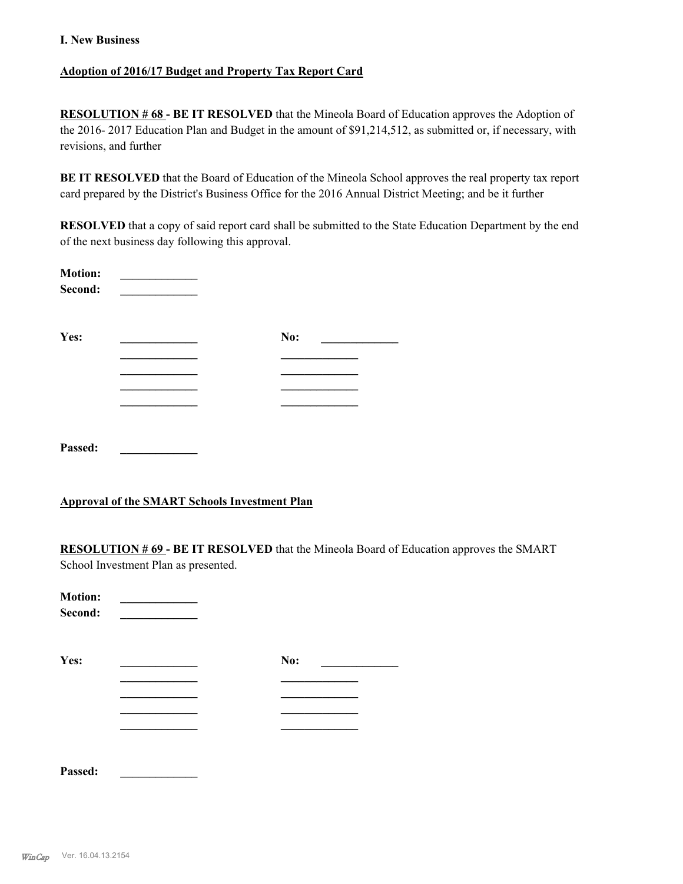#### **I. New Business**

#### **Adoption of 2016/17 Budget and Property Tax Report Card**

**RESOLUTION # 68 - BE IT RESOLVED** that the Mineola Board of Education approves the Adoption of the 2016- 2017 Education Plan and Budget in the amount of \$91,214,512, as submitted or, if necessary, with revisions, and further

**BE IT RESOLVED** that the Board of Education of the Mineola School approves the real property tax report card prepared by the District's Business Office for the 2016 Annual District Meeting; and be it further

**RESOLVED** that a copy of said report card shall be submitted to the State Education Department by the end of the next business day following this approval.

| <b>Motion:</b><br>Second: |     |  |
|---------------------------|-----|--|
| Yes:                      | No: |  |
|                           |     |  |
|                           |     |  |
|                           |     |  |
|                           |     |  |
| Passed:                   |     |  |

#### **Approval of the SMART Schools Investment Plan**

**RESOLUTION # 69 - BE IT RESOLVED** that the Mineola Board of Education approves the SMART School Investment Plan as presented.

| <b>Motion:</b><br>Second: |  |     |  |
|---------------------------|--|-----|--|
| Yes:                      |  | No: |  |
|                           |  |     |  |
|                           |  |     |  |
|                           |  |     |  |
|                           |  |     |  |
|                           |  |     |  |
|                           |  |     |  |

**Passed: \_\_\_\_\_\_\_\_\_\_\_\_\_**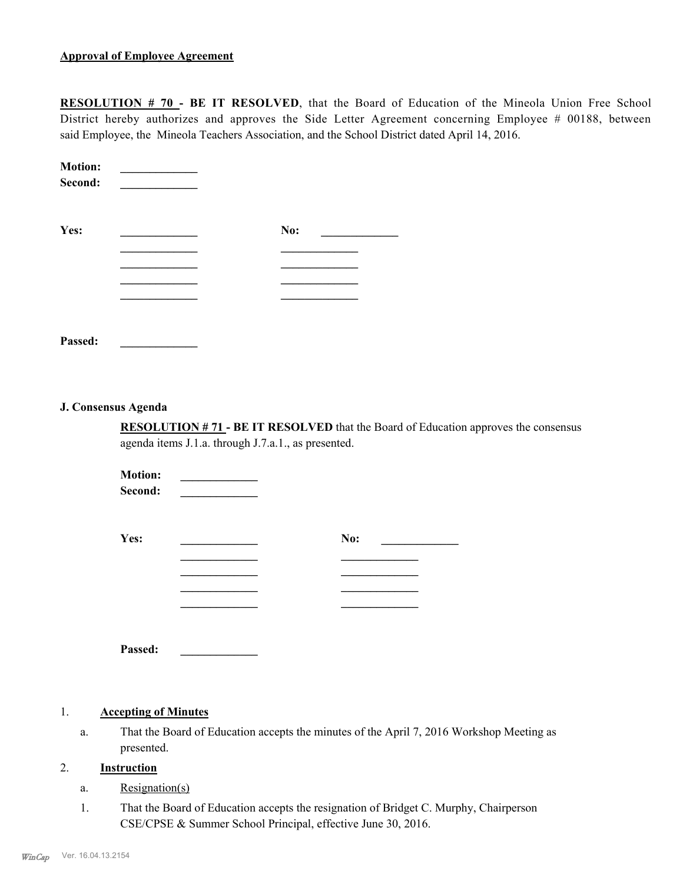#### **Approval of Employee Agreement**

**RESOLUTION # 70 - BE IT RESOLVED**, that the Board of Education of the Mineola Union Free School District hereby authorizes and approves the Side Letter Agreement concerning Employee # 00188, between said Employee, the Mineola Teachers Association, and the School District dated April 14, 2016.

| <b>Motion:</b><br>Second: |     |  |
|---------------------------|-----|--|
| Yes:                      | No: |  |
|                           |     |  |
|                           |     |  |
|                           |     |  |
|                           |     |  |
|                           |     |  |
| Passed:                   |     |  |

#### **J. Consensus Agenda**

**RESOLUTION # 71 - BE IT RESOLVED** that the Board of Education approves the consensus agenda items J.1.a. through J.7.a.1., as presented.

**Motion:** \_\_\_\_\_\_\_\_\_  $Second:$ 

| Yes: | No: |
|------|-----|
|      |     |
|      |     |
|      |     |
|      |     |
|      |     |

**Passed: \_\_\_\_\_\_\_\_\_\_\_\_\_**

#### 1. **Accepting of Minutes**

That the Board of Education accepts the minutes of the April 7, 2016 Workshop Meeting as presented. a.

#### 2. **Instruction**

- a. Resignation(s)
- That the Board of Education accepts the resignation of Bridget C. Murphy, Chairperson CSE/CPSE & Summer School Principal, effective June 30, 2016. 1.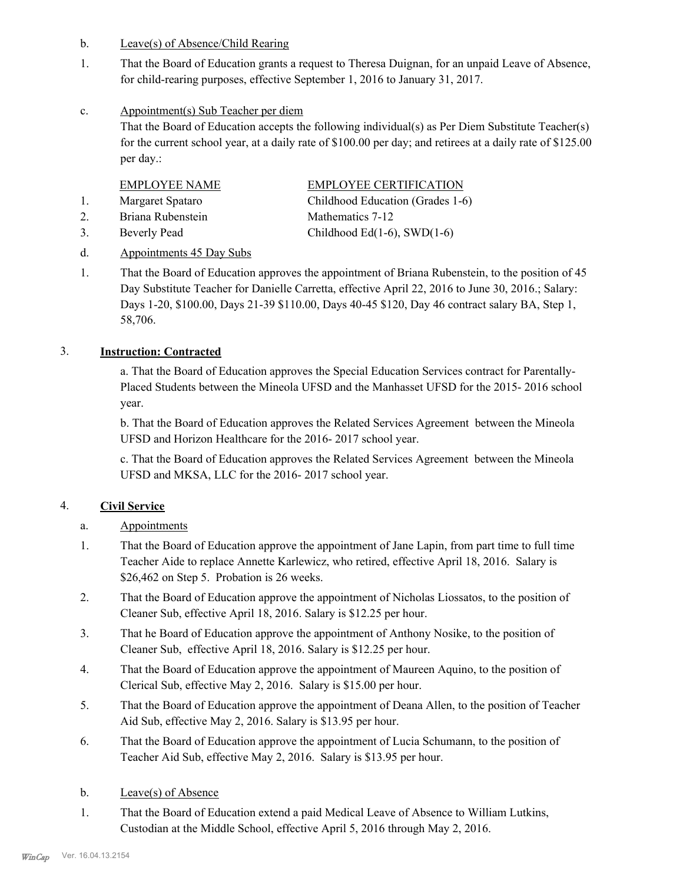- b. Leave(s) of Absence/Child Rearing
- That the Board of Education grants a request to Theresa Duignan, for an unpaid Leave of Absence, for child-rearing purposes, effective September 1, 2016 to January 31, 2017. 1.
- Appointment(s) Sub Teacher per diem c.

That the Board of Education accepts the following individual(s) as Per Diem Substitute Teacher(s) for the current school year, at a daily rate of \$100.00 per day; and retirees at a daily rate of \$125.00 per day.:

| <b>EMPLOYEE NAME</b> | <b>EMPLOYEE CERTIFICATION</b>    |
|----------------------|----------------------------------|
| Margaret Spataro     | Childhood Education (Grades 1-6) |
| Briana Rubenstein    | Mathematics 7-12                 |
| Beverly Pead         | Childhood Ed(1-6), SWD(1-6)      |

#### d. Appointments 45 Day Subs

That the Board of Education approves the appointment of Briana Rubenstein, to the position of 45 Day Substitute Teacher for Danielle Carretta, effective April 22, 2016 to June 30, 2016.; Salary: Days 1-20, \$100.00, Days 21-39 \$110.00, Days 40-45 \$120, Day 46 contract salary BA, Step 1, 58,706. 1.

#### 3. **Instruction: Contracted**

a. That the Board of Education approves the Special Education Services contract for Parentally-Placed Students between the Mineola UFSD and the Manhasset UFSD for the 2015- 2016 school year.

b. That the Board of Education approves the Related Services Agreement between the Mineola UFSD and Horizon Healthcare for the 2016- 2017 school year.

c. That the Board of Education approves the Related Services Agreement between the Mineola UFSD and MKSA, LLC for the 2016- 2017 school year.

# 4. **Civil Service**

- a. Appointments
- That the Board of Education approve the appointment of Jane Lapin, from part time to full time Teacher Aide to replace Annette Karlewicz, who retired, effective April 18, 2016. Salary is \$26,462 on Step 5. Probation is 26 weeks. 1.
- That the Board of Education approve the appointment of Nicholas Liossatos, to the position of Cleaner Sub, effective April 18, 2016. Salary is \$12.25 per hour. 2.
- That he Board of Education approve the appointment of Anthony Nosike, to the position of Cleaner Sub, effective April 18, 2016. Salary is \$12.25 per hour. 3.
- That the Board of Education approve the appointment of Maureen Aquino, to the position of Clerical Sub, effective May 2, 2016. Salary is \$15.00 per hour. 4.
- That the Board of Education approve the appointment of Deana Allen, to the position of Teacher Aid Sub, effective May 2, 2016. Salary is \$13.95 per hour. 5.
- That the Board of Education approve the appointment of Lucia Schumann, to the position of Teacher Aid Sub, effective May 2, 2016. Salary is \$13.95 per hour. 6.
- b. Leave(s) of Absence
- That the Board of Education extend a paid Medical Leave of Absence to William Lutkins, Custodian at the Middle School, effective April 5, 2016 through May 2, 2016. 1.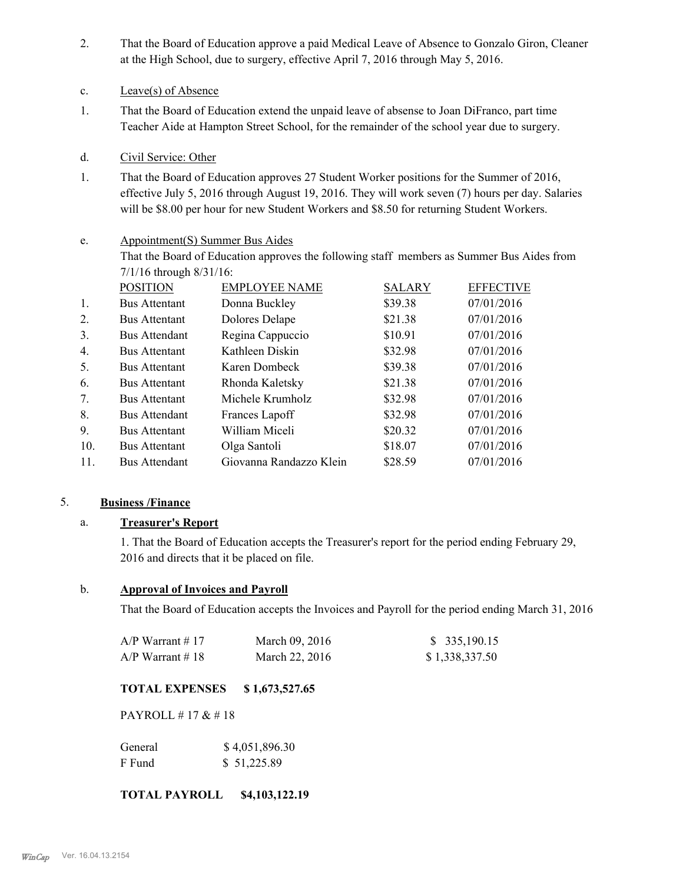- That the Board of Education approve a paid Medical Leave of Absence to Gonzalo Giron, Cleaner at the High School, due to surgery, effective April 7, 2016 through May 5, 2016. 2.
- c. Leave(s) of Absence
- That the Board of Education extend the unpaid leave of absense to Joan DiFranco, part time Teacher Aide at Hampton Street School, for the remainder of the school year due to surgery. 1.
- d. Civil Service: Other
- That the Board of Education approves 27 Student Worker positions for the Summer of 2016, effective July 5, 2016 through August 19, 2016. They will work seven (7) hours per day. Salaries will be \$8.00 per hour for new Student Workers and \$8.50 for returning Student Workers. 1.

#### Appointment(S) Summer Bus Aides e.

That the Board of Education approves the following staff members as Summer Bus Aides from 7/1/16 through 8/31/16:

| <b>POSITION</b>      | <b>EMPLOYEE NAME</b>    | <b>SALARY</b> | <b>EFFECTIVE</b> |
|----------------------|-------------------------|---------------|------------------|
| <b>Bus Attentant</b> | Donna Buckley           | \$39.38       | 07/01/2016       |
| <b>Bus Attentant</b> | Dolores Delape          | \$21.38       | 07/01/2016       |
| <b>Bus Attendant</b> | Regina Cappuccio        | \$10.91       | 07/01/2016       |
| <b>Bus Attentant</b> | Kathleen Diskin         | \$32.98       | 07/01/2016       |
| <b>Bus Attentant</b> | Karen Dombeck           | \$39.38       | 07/01/2016       |
| <b>Bus Attentant</b> | Rhonda Kaletsky         | \$21.38       | 07/01/2016       |
| <b>Bus Attentant</b> | Michele Krumholz        | \$32.98       | 07/01/2016       |
| <b>Bus Attendant</b> | Frances Lapoff          | \$32.98       | 07/01/2016       |
| <b>Bus Attentant</b> | William Miceli          | \$20.32       | 07/01/2016       |
| <b>Bus Attentant</b> | Olga Santoli            | \$18.07       | 07/01/2016       |
| <b>Bus Attendant</b> | Giovanna Randazzo Klein | \$28.59       | 07/01/2016       |
|                      |                         |               |                  |

#### 5. **Business /Finance**

# a. **Treasurer's Report**

1. That the Board of Education accepts the Treasurer's report for the period ending February 29, 2016 and directs that it be placed on file.

#### b. **Approval of Invoices and Payroll**

That the Board of Education accepts the Invoices and Payroll for the period ending March 31, 2016

| A/P Warrant # 17 | March 09, 2016 | \$ 335,190.15  |
|------------------|----------------|----------------|
| A/P Warrant # 18 | March 22, 2016 | \$1,338,337.50 |

# **TOTAL EXPENSES \$ 1,673,527.65**

PAYROLL # 17 & # 18

| General | \$4,051,896.30 |
|---------|----------------|
| F Fund  | \$51,225.89    |

#### **TOTAL PAYROLL \$4,103,122.19**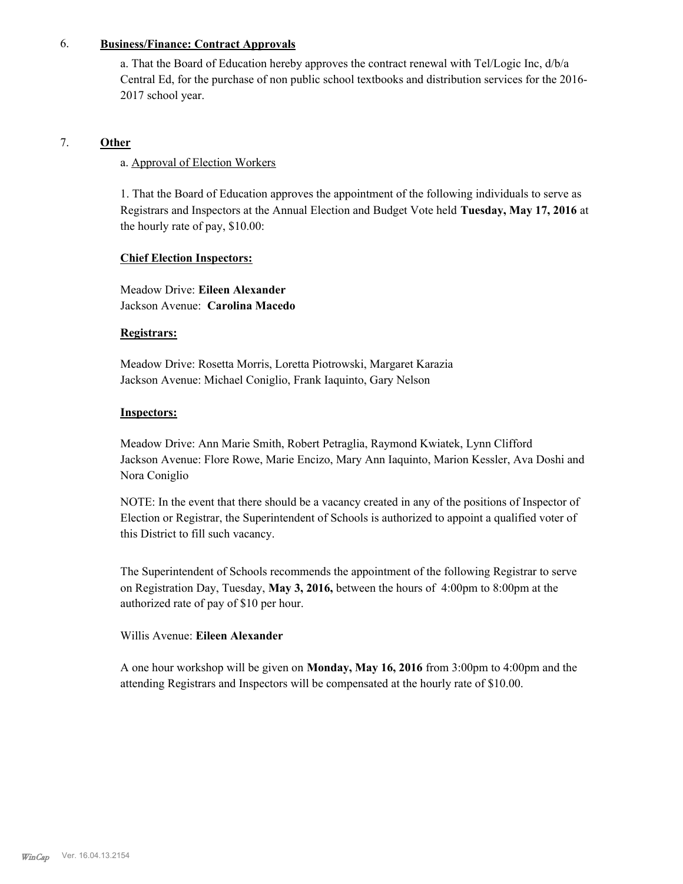#### 6. **Business/Finance: Contract Approvals**

a. That the Board of Education hereby approves the contract renewal with Tel/Logic Inc, d/b/a Central Ed, for the purchase of non public school textbooks and distribution services for the 2016- 2017 school year.

# 7. **Other**

#### a. Approval of Election Workers

1. That the Board of Education approves the appointment of the following individuals to serve as Registrars and Inspectors at the Annual Election and Budget Vote held **Tuesday, May 17, 2016** at the hourly rate of pay, \$10.00:

#### **Chief Election Inspectors:**

Meadow Drive: **Eileen Alexander**  Jackson Avenue: **Carolina Macedo**

#### **Registrars:**

Meadow Drive: Rosetta Morris, Loretta Piotrowski, Margaret Karazia Jackson Avenue: Michael Coniglio, Frank Iaquinto, Gary Nelson

#### **Inspectors:**

Meadow Drive: Ann Marie Smith, Robert Petraglia, Raymond Kwiatek, Lynn Clifford Jackson Avenue: Flore Rowe, Marie Encizo, Mary Ann Iaquinto, Marion Kessler, Ava Doshi and Nora Coniglio

NOTE: In the event that there should be a vacancy created in any of the positions of Inspector of Election or Registrar, the Superintendent of Schools is authorized to appoint a qualified voter of this District to fill such vacancy.

The Superintendent of Schools recommends the appointment of the following Registrar to serve on Registration Day, Tuesday, **May 3, 2016,** between the hours of 4:00pm to 8:00pm at the authorized rate of pay of \$10 per hour.

#### Willis Avenue: **Eileen Alexander**

A one hour workshop will be given on **Monday, May 16, 2016** from 3:00pm to 4:00pm and the attending Registrars and Inspectors will be compensated at the hourly rate of \$10.00.